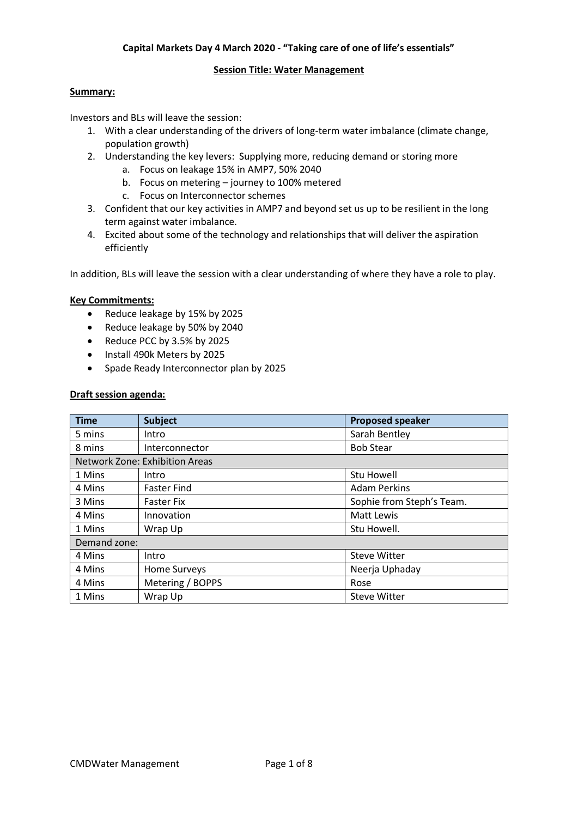# **Capital Markets Day 4 March 2020 - "Taking care of one of life's essentials"**

#### **Session Title: Water Management**

# **Summary:**

Investors and BLs will leave the session:

- 1. With a clear understanding of the drivers of long-term water imbalance (climate change, population growth)
- 2. Understanding the key levers: Supplying more, reducing demand or storing more
	- a. Focus on leakage 15% in AMP7, 50% 2040
	- b. Focus on metering journey to 100% metered
	- c. Focus on Interconnector schemes
- 3. Confident that our key activities in AMP7 and beyond set us up to be resilient in the long term against water imbalance.
- 4. Excited about some of the technology and relationships that will deliver the aspiration efficiently

In addition, BLs will leave the session with a clear understanding of where they have a role to play.

## **Key Commitments:**

- Reduce leakage by 15% by 2025
- Reduce leakage by 50% by 2040
- Reduce PCC by 3.5% by 2025
- Install 490k Meters by 2025
- Spade Ready Interconnector plan by 2025

## **Draft session agenda:**

| <b>Time</b>  | <b>Subject</b>                        | <b>Proposed speaker</b>   |
|--------------|---------------------------------------|---------------------------|
| 5 mins       | Intro                                 | Sarah Bentley             |
| 8 mins       | Interconnector                        | <b>Bob Stear</b>          |
|              | <b>Network Zone: Exhibition Areas</b> |                           |
| 1 Mins       | Intro                                 | <b>Stu Howell</b>         |
| 4 Mins       | <b>Faster Find</b>                    | <b>Adam Perkins</b>       |
| 3 Mins       | <b>Faster Fix</b>                     | Sophie from Steph's Team. |
| 4 Mins       | Innovation                            | Matt Lewis                |
| 1 Mins       | Wrap Up                               | Stu Howell.               |
| Demand zone: |                                       |                           |
| 4 Mins       | Intro                                 | <b>Steve Witter</b>       |
| 4 Mins       | Home Surveys                          | Neerja Uphaday            |
| 4 Mins       | Metering / BOPPS                      | Rose                      |
| 1 Mins       | Wrap Up                               | <b>Steve Witter</b>       |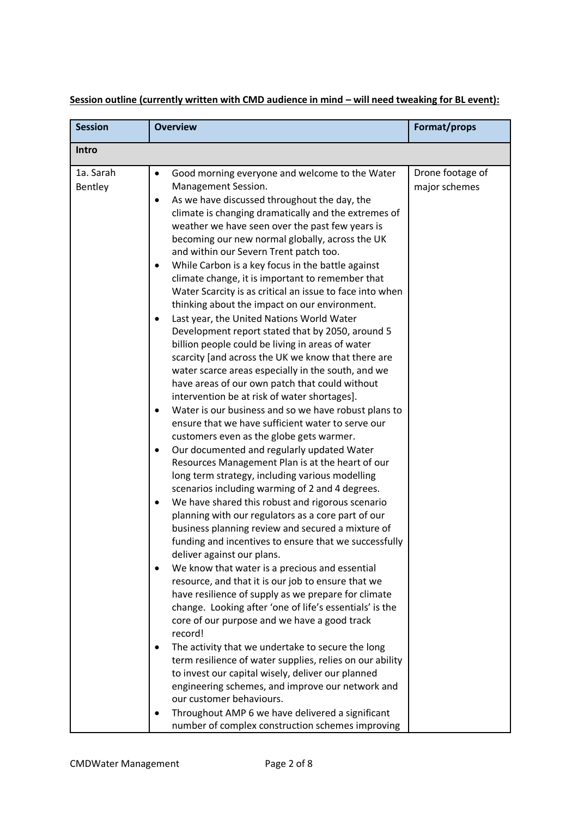| <b>Session</b>       | <b>Overview</b>                                                                                                                                                                                                                                                                                                                                                                                                                                                                                                                                                                                                                                                                                                                                                                                                                                                                                                                                                                                                                                                                                                                                                                                                                                                                                                                                                                                                                                                                                                                                                                                                                                                                                                        | Format/props                      |
|----------------------|------------------------------------------------------------------------------------------------------------------------------------------------------------------------------------------------------------------------------------------------------------------------------------------------------------------------------------------------------------------------------------------------------------------------------------------------------------------------------------------------------------------------------------------------------------------------------------------------------------------------------------------------------------------------------------------------------------------------------------------------------------------------------------------------------------------------------------------------------------------------------------------------------------------------------------------------------------------------------------------------------------------------------------------------------------------------------------------------------------------------------------------------------------------------------------------------------------------------------------------------------------------------------------------------------------------------------------------------------------------------------------------------------------------------------------------------------------------------------------------------------------------------------------------------------------------------------------------------------------------------------------------------------------------------------------------------------------------------|-----------------------------------|
| Intro                |                                                                                                                                                                                                                                                                                                                                                                                                                                                                                                                                                                                                                                                                                                                                                                                                                                                                                                                                                                                                                                                                                                                                                                                                                                                                                                                                                                                                                                                                                                                                                                                                                                                                                                                        |                                   |
| 1a. Sarah<br>Bentley | Good morning everyone and welcome to the Water<br>Management Session.<br>As we have discussed throughout the day, the<br>$\bullet$<br>climate is changing dramatically and the extremes of<br>weather we have seen over the past few years is<br>becoming our new normal globally, across the UK<br>and within our Severn Trent patch too.<br>While Carbon is a key focus in the battle against<br>climate change, it is important to remember that<br>Water Scarcity is as critical an issue to face into when<br>thinking about the impact on our environment.<br>Last year, the United Nations World Water<br>Development report stated that by 2050, around 5<br>billion people could be living in areas of water<br>scarcity [and across the UK we know that there are<br>water scarce areas especially in the south, and we<br>have areas of our own patch that could without<br>intervention be at risk of water shortages].<br>Water is our business and so we have robust plans to<br>$\bullet$<br>ensure that we have sufficient water to serve our<br>customers even as the globe gets warmer.<br>Our documented and regularly updated Water<br>$\bullet$<br>Resources Management Plan is at the heart of our<br>long term strategy, including various modelling<br>scenarios including warming of 2 and 4 degrees.<br>We have shared this robust and rigorous scenario<br>$\bullet$<br>planning with our regulators as a core part of our<br>business planning review and secured a mixture of<br>funding and incentives to ensure that we successfully<br>deliver against our plans.<br>We know that water is a precious and essential<br>$\bullet$<br>resource, and that it is our job to ensure that we | Drone footage of<br>major schemes |
|                      | have resilience of supply as we prepare for climate<br>change. Looking after 'one of life's essentials' is the<br>core of our purpose and we have a good track<br>record!                                                                                                                                                                                                                                                                                                                                                                                                                                                                                                                                                                                                                                                                                                                                                                                                                                                                                                                                                                                                                                                                                                                                                                                                                                                                                                                                                                                                                                                                                                                                              |                                   |
|                      | The activity that we undertake to secure the long<br>term resilience of water supplies, relies on our ability<br>to invest our capital wisely, deliver our planned<br>engineering schemes, and improve our network and<br>our customer behaviours.                                                                                                                                                                                                                                                                                                                                                                                                                                                                                                                                                                                                                                                                                                                                                                                                                                                                                                                                                                                                                                                                                                                                                                                                                                                                                                                                                                                                                                                                     |                                   |
|                      | Throughout AMP 6 we have delivered a significant<br>$\bullet$<br>number of complex construction schemes improving                                                                                                                                                                                                                                                                                                                                                                                                                                                                                                                                                                                                                                                                                                                                                                                                                                                                                                                                                                                                                                                                                                                                                                                                                                                                                                                                                                                                                                                                                                                                                                                                      |                                   |

**Session outline (currently written with CMD audience in mind – will need tweaking for BL event):**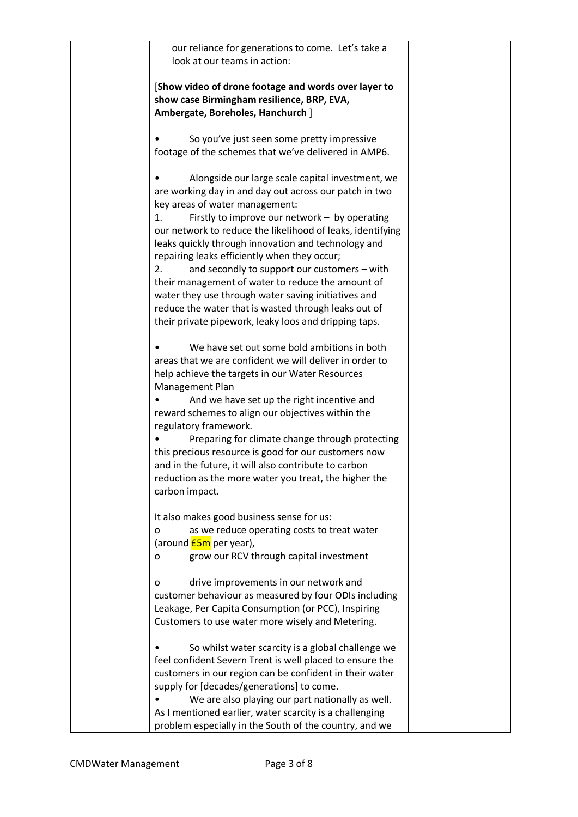our reliance for generations to come. Let's take a look at our teams in action:

[**Show video of drone footage and words over layer to show case Birmingham resilience, BRP, EVA, Ambergate, Boreholes, Hanchurch** ]

So you've just seen some pretty impressive footage of the schemes that we've delivered in AMP6.

• Alongside our large scale capital investment, we are working day in and day out across our patch in two key areas of water management: 1. Firstly to improve our network – by operating our network to reduce the likelihood of leaks, identifying leaks quickly through innovation and technology and repairing leaks efficiently when they occur; 2. and secondly to support our customers – with their management of water to reduce the amount of water they use through water saving initiatives and reduce the water that is wasted through leaks out of their private pipework, leaky loos and dripping taps. We have set out some bold ambitions in both areas that we are confident we will deliver in order to help achieve the targets in our Water Resources Management Plan • And we have set up the right incentive and reward schemes to align our objectives within the regulatory framework.

• Preparing for climate change through protecting this precious resource is good for our customers now and in the future, it will also contribute to carbon reduction as the more water you treat, the higher the carbon impact.

It also makes good business sense for us:

o as we reduce operating costs to treat water (around  $E5m$  per year),

o grow our RCV through capital investment

o drive improvements in our network and customer behaviour as measured by four ODIs including Leakage, Per Capita Consumption (or PCC), Inspiring Customers to use water more wisely and Metering.

So whilst water scarcity is a global challenge we feel confident Severn Trent is well placed to ensure the customers in our region can be confident in their water supply for [decades/generations] to come.

We are also playing our part nationally as well. As I mentioned earlier, water scarcity is a challenging problem especially in the South of the country, and we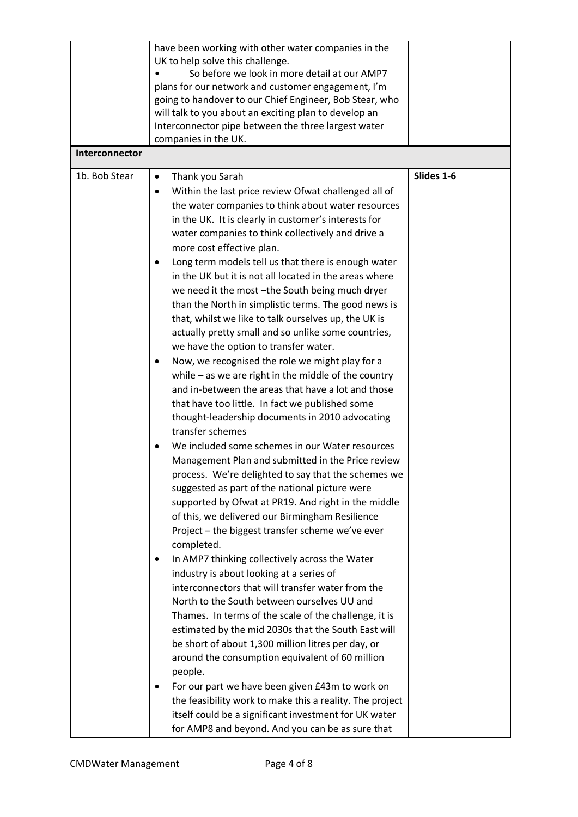| Interconnector | have been working with other water companies in the<br>UK to help solve this challenge.<br>So before we look in more detail at our AMP7<br>plans for our network and customer engagement, I'm<br>going to handover to our Chief Engineer, Bob Stear, who<br>will talk to you about an exciting plan to develop an<br>Interconnector pipe between the three largest water<br>companies in the UK.                                                                                                                                                                                                                                                               |            |
|----------------|----------------------------------------------------------------------------------------------------------------------------------------------------------------------------------------------------------------------------------------------------------------------------------------------------------------------------------------------------------------------------------------------------------------------------------------------------------------------------------------------------------------------------------------------------------------------------------------------------------------------------------------------------------------|------------|
| 1b. Bob Stear  | Thank you Sarah<br>$\bullet$<br>Within the last price review Ofwat challenged all of<br>$\bullet$                                                                                                                                                                                                                                                                                                                                                                                                                                                                                                                                                              | Slides 1-6 |
|                | the water companies to think about water resources<br>in the UK. It is clearly in customer's interests for<br>water companies to think collectively and drive a<br>more cost effective plan.                                                                                                                                                                                                                                                                                                                                                                                                                                                                   |            |
|                | Long term models tell us that there is enough water<br>in the UK but it is not all located in the areas where<br>we need it the most -the South being much dryer<br>than the North in simplistic terms. The good news is<br>that, whilst we like to talk ourselves up, the UK is<br>actually pretty small and so unlike some countries,<br>we have the option to transfer water.                                                                                                                                                                                                                                                                               |            |
|                | Now, we recognised the role we might play for a<br>$\bullet$<br>while $-$ as we are right in the middle of the country<br>and in-between the areas that have a lot and those<br>that have too little. In fact we published some<br>thought-leadership documents in 2010 advocating<br>transfer schemes                                                                                                                                                                                                                                                                                                                                                         |            |
|                | We included some schemes in our Water resources<br>Management Plan and submitted in the Price review<br>process. We're delighted to say that the schemes we<br>suggested as part of the national picture were<br>supported by Ofwat at PR19. And right in the middle<br>of this, we delivered our Birmingham Resilience<br>Project - the biggest transfer scheme we've ever<br>completed.                                                                                                                                                                                                                                                                      |            |
|                | In AMP7 thinking collectively across the Water<br>industry is about looking at a series of<br>interconnectors that will transfer water from the<br>North to the South between ourselves UU and<br>Thames. In terms of the scale of the challenge, it is<br>estimated by the mid 2030s that the South East will<br>be short of about 1,300 million litres per day, or<br>around the consumption equivalent of 60 million<br>people.<br>For our part we have been given £43m to work on<br>the feasibility work to make this a reality. The project<br>itself could be a significant investment for UK water<br>for AMP8 and beyond. And you can be as sure that |            |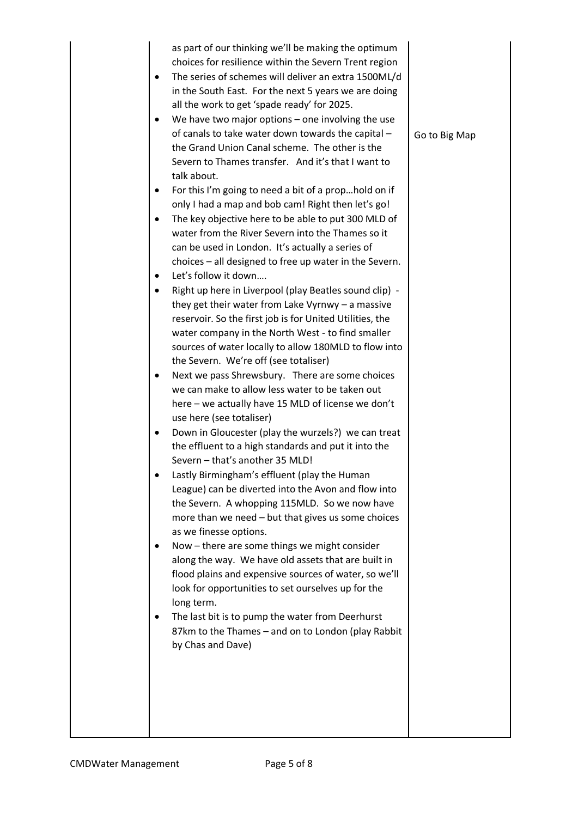|                        | as part of our thinking we'll be making the optimum<br>choices for resilience within the Severn Trent region<br>The series of schemes will deliver an extra 1500ML/d<br>in the South East. For the next 5 years we are doing                                                    |               |
|------------------------|---------------------------------------------------------------------------------------------------------------------------------------------------------------------------------------------------------------------------------------------------------------------------------|---------------|
|                        | all the work to get 'spade ready' for 2025.<br>We have two major options $-$ one involving the use<br>of canals to take water down towards the capital -<br>the Grand Union Canal scheme. The other is the<br>Severn to Thames transfer. And it's that I want to<br>talk about. | Go to Big Map |
|                        | For this I'm going to need a bit of a prophold on if                                                                                                                                                                                                                            |               |
|                        | only I had a map and bob cam! Right then let's go!                                                                                                                                                                                                                              |               |
| $\bullet$<br>$\bullet$ | The key objective here to be able to put 300 MLD of<br>water from the River Severn into the Thames so it<br>can be used in London. It's actually a series of<br>choices - all designed to free up water in the Severn.<br>Let's follow it down                                  |               |
| ٠                      | Right up here in Liverpool (play Beatles sound clip) -                                                                                                                                                                                                                          |               |
|                        | they get their water from Lake Vyrnwy $-$ a massive<br>reservoir. So the first job is for United Utilities, the<br>water company in the North West - to find smaller<br>sources of water locally to allow 180MLD to flow into                                                   |               |
|                        | the Severn. We're off (see totaliser)<br>Next we pass Shrewsbury. There are some choices<br>we can make to allow less water to be taken out<br>here - we actually have 15 MLD of license we don't                                                                               |               |
|                        | use here (see totaliser)<br>Down in Gloucester (play the wurzels?) we can treat<br>the effluent to a high standards and put it into the                                                                                                                                         |               |
|                        | Severn - that's another 35 MLD!<br>Lastly Birmingham's effluent (play the Human<br>League) can be diverted into the Avon and flow into<br>the Severn. A whopping 115MLD. So we now have<br>more than we need - but that gives us some choices                                   |               |
|                        | as we finesse options.<br>Now – there are some things we might consider<br>along the way. We have old assets that are built in<br>flood plains and expensive sources of water, so we'll<br>look for opportunities to set ourselves up for the<br>long term.                     |               |
|                        | The last bit is to pump the water from Deerhurst<br>87km to the Thames - and on to London (play Rabbit<br>by Chas and Dave)                                                                                                                                                     |               |
|                        |                                                                                                                                                                                                                                                                                 |               |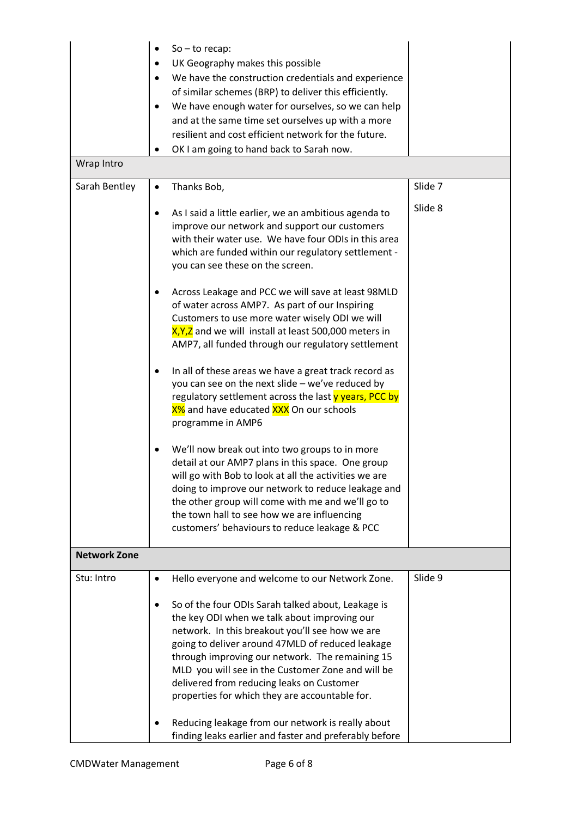|                     | $So - to recap:$<br>UK Geography makes this possible<br>We have the construction credentials and experience<br>of similar schemes (BRP) to deliver this efficiently.<br>We have enough water for ourselves, so we can help<br>and at the same time set ourselves up with a more<br>resilient and cost efficient network for the future.<br>OK I am going to hand back to Sarah now.                                                                                                                                                |         |
|---------------------|------------------------------------------------------------------------------------------------------------------------------------------------------------------------------------------------------------------------------------------------------------------------------------------------------------------------------------------------------------------------------------------------------------------------------------------------------------------------------------------------------------------------------------|---------|
| Wrap Intro          |                                                                                                                                                                                                                                                                                                                                                                                                                                                                                                                                    |         |
| Sarah Bentley       | Thanks Bob,<br>$\bullet$                                                                                                                                                                                                                                                                                                                                                                                                                                                                                                           | Slide 7 |
|                     | As I said a little earlier, we an ambitious agenda to<br>improve our network and support our customers<br>with their water use. We have four ODIs in this area<br>which are funded within our regulatory settlement -<br>you can see these on the screen.<br>Across Leakage and PCC we will save at least 98MLD                                                                                                                                                                                                                    | Slide 8 |
|                     | of water across AMP7. As part of our Inspiring<br>Customers to use more water wisely ODI we will<br>X, Y, Z and we will install at least 500,000 meters in<br>AMP7, all funded through our regulatory settlement                                                                                                                                                                                                                                                                                                                   |         |
|                     | In all of these areas we have a great track record as<br>you can see on the next slide - we've reduced by<br>regulatory settlement across the last y years, PCC by<br>X% and have educated XXX On our schools<br>programme in AMP6                                                                                                                                                                                                                                                                                                 |         |
|                     | We'll now break out into two groups to in more<br>detail at our AMP7 plans in this space. One group<br>will go with Bob to look at all the activities we are<br>doing to improve our network to reduce leakage and<br>the other group will come with me and we'll go to<br>the town hall to see how we are influencing<br>customers' behaviours to reduce leakage & PCC                                                                                                                                                            |         |
| <b>Network Zone</b> |                                                                                                                                                                                                                                                                                                                                                                                                                                                                                                                                    |         |
| Stu: Intro          | Hello everyone and welcome to our Network Zone.<br>٠<br>So of the four ODIs Sarah talked about, Leakage is<br>٠<br>the key ODI when we talk about improving our<br>network. In this breakout you'll see how we are<br>going to deliver around 47MLD of reduced leakage<br>through improving our network. The remaining 15<br>MLD you will see in the Customer Zone and will be<br>delivered from reducing leaks on Customer<br>properties for which they are accountable for.<br>Reducing leakage from our network is really about | Slide 9 |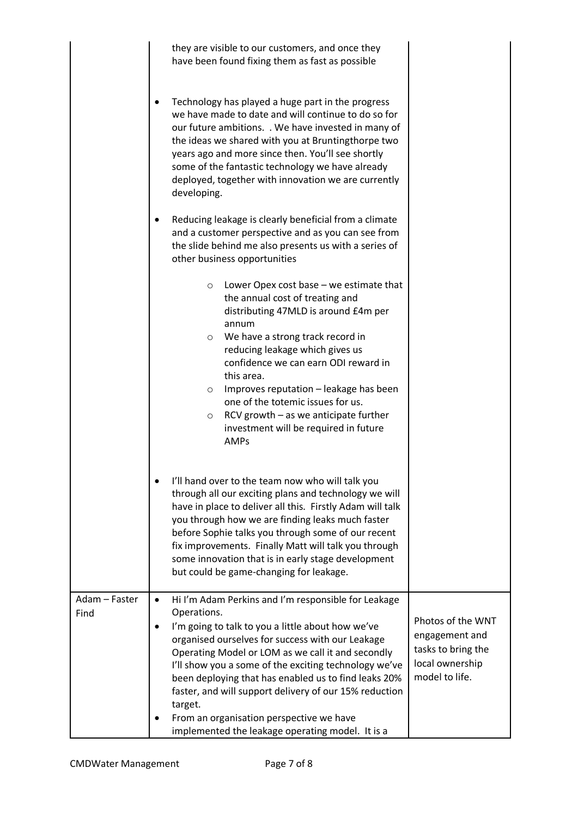|                       | they are visible to our customers, and once they<br>have been found fixing them as fast as possible                                                                                                                                                                                                                                                                                                                                                                                          |                                                                                                |
|-----------------------|----------------------------------------------------------------------------------------------------------------------------------------------------------------------------------------------------------------------------------------------------------------------------------------------------------------------------------------------------------------------------------------------------------------------------------------------------------------------------------------------|------------------------------------------------------------------------------------------------|
|                       | Technology has played a huge part in the progress<br>we have made to date and will continue to do so for<br>our future ambitions. . We have invested in many of<br>the ideas we shared with you at Bruntingthorpe two<br>years ago and more since then. You'll see shortly<br>some of the fantastic technology we have already<br>deployed, together with innovation we are currently<br>developing.                                                                                         |                                                                                                |
|                       | Reducing leakage is clearly beneficial from a climate<br>and a customer perspective and as you can see from<br>the slide behind me also presents us with a series of<br>other business opportunities                                                                                                                                                                                                                                                                                         |                                                                                                |
|                       | Lower Opex cost base $-$ we estimate that<br>$\circ$<br>the annual cost of treating and<br>distributing 47MLD is around £4m per<br>annum<br>We have a strong track record in<br>$\circ$                                                                                                                                                                                                                                                                                                      |                                                                                                |
|                       | reducing leakage which gives us<br>confidence we can earn ODI reward in<br>this area.<br>Improves reputation - leakage has been<br>$\circ$<br>one of the totemic issues for us.                                                                                                                                                                                                                                                                                                              |                                                                                                |
|                       | RCV growth - as we anticipate further<br>$\circ$<br>investment will be required in future<br><b>AMPs</b>                                                                                                                                                                                                                                                                                                                                                                                     |                                                                                                |
|                       | I'll hand over to the team now who will talk you<br>$\bullet$<br>through all our exciting plans and technology we will<br>have in place to deliver all this. Firstly Adam will talk<br>you through how we are finding leaks much faster<br>before Sophie talks you through some of our recent<br>fix improvements. Finally Matt will talk you through<br>some innovation that is in early stage development<br>but could be game-changing for leakage.                                       |                                                                                                |
| Adam - Faster<br>Find | Hi I'm Adam Perkins and I'm responsible for Leakage<br>$\bullet$<br>Operations.<br>I'm going to talk to you a little about how we've<br>$\bullet$<br>organised ourselves for success with our Leakage<br>Operating Model or LOM as we call it and secondly<br>I'll show you a some of the exciting technology we've<br>been deploying that has enabled us to find leaks 20%<br>faster, and will support delivery of our 15% reduction<br>target.<br>From an organisation perspective we have | Photos of the WNT<br>engagement and<br>tasks to bring the<br>local ownership<br>model to life. |
|                       | implemented the leakage operating model. It is a                                                                                                                                                                                                                                                                                                                                                                                                                                             |                                                                                                |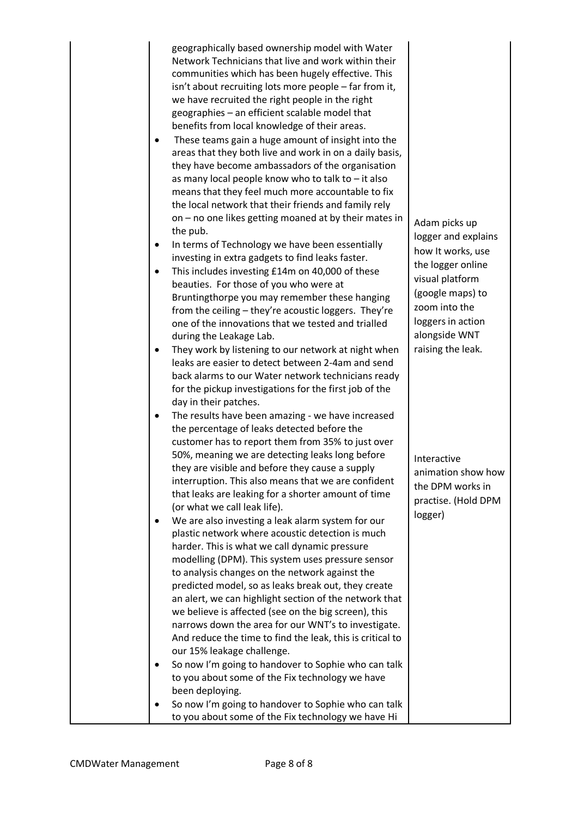geographically based ownership model with Water Network Technicians that live and work within their communities which has been hugely effective. This isn't about recruiting lots more people – far from it, we have recruited the right people in the right geographies – an efficient scalable model that benefits from local knowledge of their areas.

- These teams gain a huge amount of insight into the areas that they both live and work in on a daily basis, they have become ambassadors of the organisation as many local people know who to talk to – it also means that they feel much more accountable to fix the local network that their friends and family rely on – no one likes getting moaned at by their mates in the pub.
- In terms of Technology we have been essentially investing in extra gadgets to find leaks faster.
- This includes investing £14m on 40,000 of these beauties. For those of you who were at Bruntingthorpe you may remember these hanging from the ceiling – they're acoustic loggers. They're one of the innovations that we tested and trialled during the Leakage Lab.
- They work by listening to our network at night when leaks are easier to detect between 2-4am and send back alarms to our Water network technicians ready for the pickup investigations for the first job of the day in their patches.
- The results have been amazing we have increased the percentage of leaks detected before the customer has to report them from 35% to just over 50%, meaning we are detecting leaks long before they are visible and before they cause a supply interruption. This also means that we are confident that leaks are leaking for a shorter amount of time (or what we call leak life).
- We are also investing a leak alarm system for our plastic network where acoustic detection is much harder. This is what we call dynamic pressure modelling (DPM). This system uses pressure sensor to analysis changes on the network against the predicted model, so as leaks break out, they create an alert, we can highlight section of the network that we believe is affected (see on the big screen), this narrows down the area for our WNT's to investigate. And reduce the time to find the leak, this is critical to our 15% leakage challenge. So now I'm going to handover to Sophie who can talk
	- to you about some of the Fix technology we have been deploying.
	- So now I'm going to handover to Sophie who can talk to you about some of the Fix technology we have Hi

logger and explains how It works, use the logger online visual platform (google maps) to zoom into the loggers in action alongside WNT raising the leak.

Adam picks up

Interactive animation show how the DPM works in practise. (Hold DPM logger)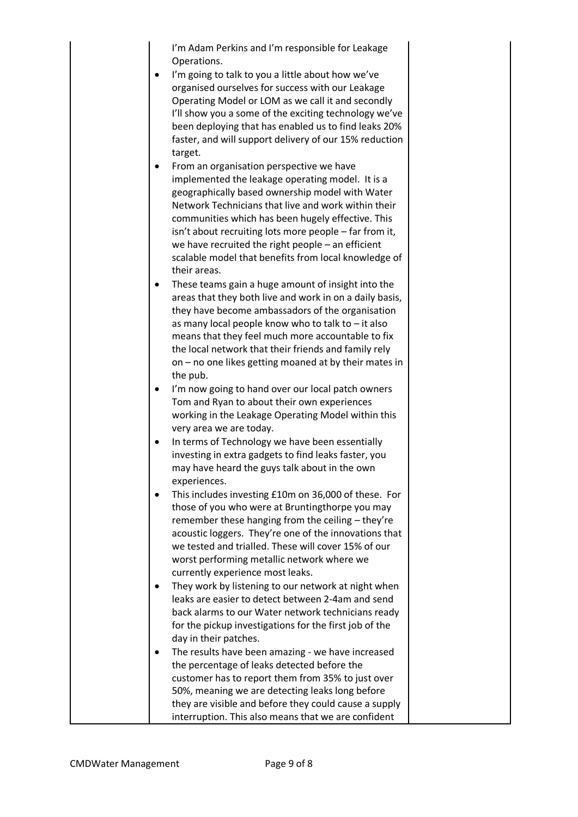I'm Adam Perkins and I'm responsible for Leakage Operations.

- I'm going to talk to you a little about how we've organised ourselves for success with our Leakage Operating Model or LOM as we call it and secondly I'll show you a some of the exciting technology we've been deploying that has enabled us to find leaks 20% faster, and will support delivery of our 15% reduction target.
- From an organisation perspective we have implemented the leakage operating model. It is a geographically based ownership model with Water Network Technicians that live and work within their communities which has been hugely effective. This isn't about recruiting lots more people – far from it, we have recruited the right people – an efficient scalable model that benefits from local knowledge of their areas.
- These teams gain a huge amount of insight into the areas that they both live and work in on a daily basis, they have become ambassadors of the organisation as many local people know who to talk to – it also means that they feel much more accountable to fix the local network that their friends and family rely on – no one likes getting moaned at by their mates in the pub.
- I'm now going to hand over our local patch owners Tom and Ryan to about their own experiences working in the Leakage Operating Model within this very area we are today.
- In terms of Technology we have been essentially investing in extra gadgets to find leaks faster, you may have heard the guys talk about in the own experiences.
- This includes investing £10m on 36,000 of these. For those of you who were at Bruntingthorpe you may remember these hanging from the ceiling – they're acoustic loggers. They're one of the innovations that we tested and trialled. These will cover 15% of our worst performing metallic network where we currently experience most leaks.
- They work by listening to our network at night when leaks are easier to detect between 2-4am and send back alarms to our Water network technicians ready for the pickup investigations for the first job of the day in their patches.
- The results have been amazing we have increased the percentage of leaks detected before the customer has to report them from 35% to just over 50%, meaning we are detecting leaks long before they are visible and before they could cause a supply interruption. This also means that we are confident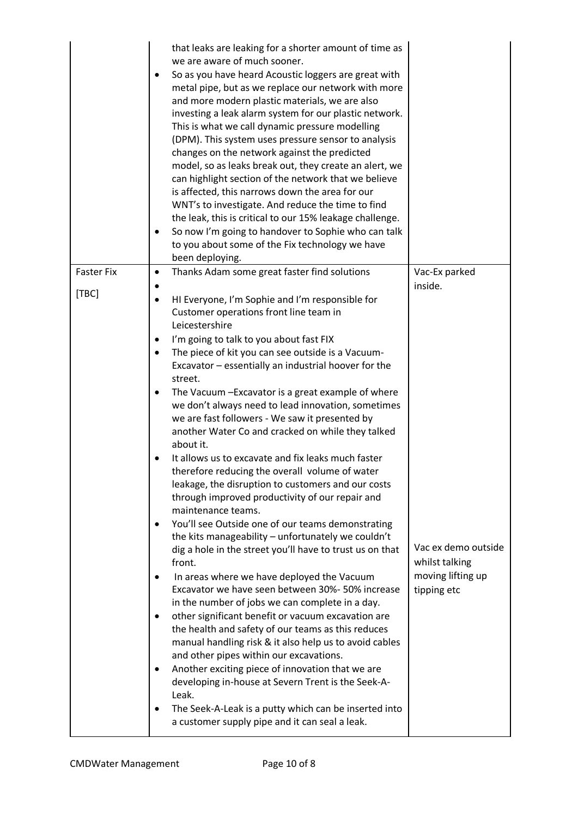|                   | that leaks are leaking for a shorter amount of time as<br>we are aware of much sooner.<br>So as you have heard Acoustic loggers are great with<br>metal pipe, but as we replace our network with more<br>and more modern plastic materials, we are also<br>investing a leak alarm system for our plastic network.<br>This is what we call dynamic pressure modelling<br>(DPM). This system uses pressure sensor to analysis<br>changes on the network against the predicted<br>model, so as leaks break out, they create an alert, we<br>can highlight section of the network that we believe<br>is affected, this narrows down the area for our<br>WNT's to investigate. And reduce the time to find<br>the leak, this is critical to our 15% leakage challenge.<br>So now I'm going to handover to Sophie who can talk<br>٠<br>to you about some of the Fix technology we have<br>been deploying. |                                       |
|-------------------|-----------------------------------------------------------------------------------------------------------------------------------------------------------------------------------------------------------------------------------------------------------------------------------------------------------------------------------------------------------------------------------------------------------------------------------------------------------------------------------------------------------------------------------------------------------------------------------------------------------------------------------------------------------------------------------------------------------------------------------------------------------------------------------------------------------------------------------------------------------------------------------------------------|---------------------------------------|
| <b>Faster Fix</b> | Thanks Adam some great faster find solutions<br>٠                                                                                                                                                                                                                                                                                                                                                                                                                                                                                                                                                                                                                                                                                                                                                                                                                                                   | Vac-Ex parked                         |
| [TBC]             | HI Everyone, I'm Sophie and I'm responsible for<br>٠<br>Customer operations front line team in<br>Leicestershire                                                                                                                                                                                                                                                                                                                                                                                                                                                                                                                                                                                                                                                                                                                                                                                    | inside.                               |
|                   | I'm going to talk to you about fast FIX<br>٠                                                                                                                                                                                                                                                                                                                                                                                                                                                                                                                                                                                                                                                                                                                                                                                                                                                        |                                       |
|                   | The piece of kit you can see outside is a Vacuum-<br>Excavator - essentially an industrial hoover for the<br>street.                                                                                                                                                                                                                                                                                                                                                                                                                                                                                                                                                                                                                                                                                                                                                                                |                                       |
|                   | The Vacuum - Excavator is a great example of where<br>we don't always need to lead innovation, sometimes<br>we are fast followers - We saw it presented by<br>another Water Co and cracked on while they talked<br>about it.                                                                                                                                                                                                                                                                                                                                                                                                                                                                                                                                                                                                                                                                        |                                       |
|                   | It allows us to excavate and fix leaks much faster<br>therefore reducing the overall volume of water<br>leakage, the disruption to customers and our costs<br>through improved productivity of our repair and<br>maintenance teams.                                                                                                                                                                                                                                                                                                                                                                                                                                                                                                                                                                                                                                                                 |                                       |
|                   | You'll see Outside one of our teams demonstrating<br>the kits manageability - unfortunately we couldn't<br>dig a hole in the street you'll have to trust us on that<br>front.                                                                                                                                                                                                                                                                                                                                                                                                                                                                                                                                                                                                                                                                                                                       | Vac ex demo outside<br>whilst talking |
|                   | In areas where we have deployed the Vacuum<br>Excavator we have seen between 30%- 50% increase<br>in the number of jobs we can complete in a day.                                                                                                                                                                                                                                                                                                                                                                                                                                                                                                                                                                                                                                                                                                                                                   | moving lifting up<br>tipping etc      |
|                   | other significant benefit or vacuum excavation are<br>the health and safety of our teams as this reduces<br>manual handling risk & it also help us to avoid cables<br>and other pipes within our excavations.<br>Another exciting piece of innovation that we are<br>developing in-house at Severn Trent is the Seek-A-<br>Leak.                                                                                                                                                                                                                                                                                                                                                                                                                                                                                                                                                                    |                                       |
|                   | The Seek-A-Leak is a putty which can be inserted into<br>a customer supply pipe and it can seal a leak.                                                                                                                                                                                                                                                                                                                                                                                                                                                                                                                                                                                                                                                                                                                                                                                             |                                       |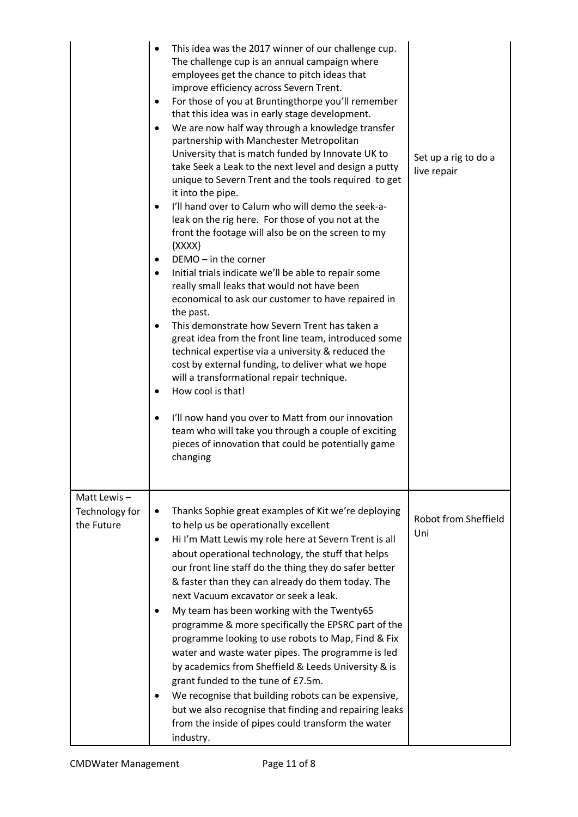|                                             | This idea was the 2017 winner of our challenge cup.<br>The challenge cup is an annual campaign where<br>employees get the chance to pitch ideas that<br>improve efficiency across Severn Trent.<br>For those of you at Bruntingthorpe you'll remember<br>$\bullet$<br>that this idea was in early stage development.<br>We are now half way through a knowledge transfer<br>$\bullet$<br>partnership with Manchester Metropolitan<br>University that is match funded by Innovate UK to<br>take Seek a Leak to the next level and design a putty<br>unique to Severn Trent and the tools required to get<br>it into the pipe.<br>I'll hand over to Calum who will demo the seek-a-<br>leak on the rig here. For those of you not at the<br>front the footage will also be on the screen to my<br>${XXX}$<br>$DEMO - in$ the corner<br>$\bullet$<br>Initial trials indicate we'll be able to repair some<br>$\bullet$<br>really small leaks that would not have been<br>economical to ask our customer to have repaired in<br>the past.<br>This demonstrate how Severn Trent has taken a<br>$\bullet$<br>great idea from the front line team, introduced some<br>technical expertise via a university & reduced the<br>cost by external funding, to deliver what we hope<br>will a transformational repair technique.<br>How cool is that!<br>I'll now hand you over to Matt from our innovation<br>٠<br>team who will take you through a couple of exciting<br>pieces of innovation that could be potentially game<br>changing | Set up a rig to do a<br>live repair |
|---------------------------------------------|-------------------------------------------------------------------------------------------------------------------------------------------------------------------------------------------------------------------------------------------------------------------------------------------------------------------------------------------------------------------------------------------------------------------------------------------------------------------------------------------------------------------------------------------------------------------------------------------------------------------------------------------------------------------------------------------------------------------------------------------------------------------------------------------------------------------------------------------------------------------------------------------------------------------------------------------------------------------------------------------------------------------------------------------------------------------------------------------------------------------------------------------------------------------------------------------------------------------------------------------------------------------------------------------------------------------------------------------------------------------------------------------------------------------------------------------------------------------------------------------------------------------------------|-------------------------------------|
| Matt Lewis-<br>Technology for<br>the Future | Thanks Sophie great examples of Kit we're deploying<br>٠<br>to help us be operationally excellent<br>Hi I'm Matt Lewis my role here at Severn Trent is all<br>$\bullet$<br>about operational technology, the stuff that helps<br>our front line staff do the thing they do safer better<br>& faster than they can already do them today. The<br>next Vacuum excavator or seek a leak.<br>My team has been working with the Twenty65<br>programme & more specifically the EPSRC part of the<br>programme looking to use robots to Map, Find & Fix<br>water and waste water pipes. The programme is led<br>by academics from Sheffield & Leeds University & is<br>grant funded to the tune of £7.5m.<br>We recognise that building robots can be expensive,<br>but we also recognise that finding and repairing leaks<br>from the inside of pipes could transform the water<br>industry.                                                                                                                                                                                                                                                                                                                                                                                                                                                                                                                                                                                                                                        | Robot from Sheffield<br>Uni         |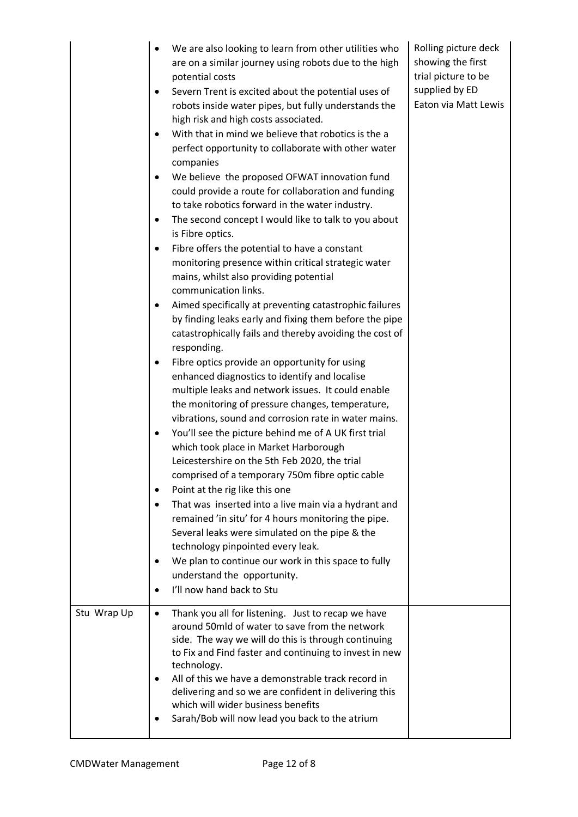|             | We are also looking to learn from other utilities who<br>$\bullet$<br>are on a similar journey using robots due to the high<br>potential costs<br>Severn Trent is excited about the potential uses of<br>٠<br>robots inside water pipes, but fully understands the<br>high risk and high costs associated.<br>With that in mind we believe that robotics is the a<br>$\bullet$<br>perfect opportunity to collaborate with other water<br>companies<br>We believe the proposed OFWAT innovation fund<br>٠<br>could provide a route for collaboration and funding<br>to take robotics forward in the water industry.<br>The second concept I would like to talk to you about<br>$\bullet$<br>is Fibre optics.<br>Fibre offers the potential to have a constant<br>٠<br>monitoring presence within critical strategic water<br>mains, whilst also providing potential<br>communication links.<br>Aimed specifically at preventing catastrophic failures<br>٠<br>by finding leaks early and fixing them before the pipe<br>catastrophically fails and thereby avoiding the cost of<br>responding.<br>Fibre optics provide an opportunity for using<br>٠<br>enhanced diagnostics to identify and localise<br>multiple leaks and network issues. It could enable<br>the monitoring of pressure changes, temperature,<br>vibrations, sound and corrosion rate in water mains.<br>You'll see the picture behind me of A UK first trial<br>٠<br>which took place in Market Harborough<br>Leicestershire on the 5th Feb 2020, the trial<br>comprised of a temporary 750m fibre optic cable<br>Point at the rig like this one<br>$\bullet$<br>That was inserted into a live main via a hydrant and<br>$\bullet$<br>remained 'in situ' for 4 hours monitoring the pipe.<br>Several leaks were simulated on the pipe & the<br>technology pinpointed every leak.<br>We plan to continue our work in this space to fully<br>٠<br>understand the opportunity.<br>I'll now hand back to Stu<br>$\bullet$ | Rolling picture deck<br>showing the first<br>trial picture to be<br>supplied by ED<br>Eaton via Matt Lewis |
|-------------|-----------------------------------------------------------------------------------------------------------------------------------------------------------------------------------------------------------------------------------------------------------------------------------------------------------------------------------------------------------------------------------------------------------------------------------------------------------------------------------------------------------------------------------------------------------------------------------------------------------------------------------------------------------------------------------------------------------------------------------------------------------------------------------------------------------------------------------------------------------------------------------------------------------------------------------------------------------------------------------------------------------------------------------------------------------------------------------------------------------------------------------------------------------------------------------------------------------------------------------------------------------------------------------------------------------------------------------------------------------------------------------------------------------------------------------------------------------------------------------------------------------------------------------------------------------------------------------------------------------------------------------------------------------------------------------------------------------------------------------------------------------------------------------------------------------------------------------------------------------------------------------------------------------------------------------------------------------------------------------------|------------------------------------------------------------------------------------------------------------|
| Stu Wrap Up | Thank you all for listening. Just to recap we have<br>$\bullet$<br>around 50mld of water to save from the network<br>side. The way we will do this is through continuing<br>to Fix and Find faster and continuing to invest in new<br>technology.<br>All of this we have a demonstrable track record in<br>٠<br>delivering and so we are confident in delivering this<br>which will wider business benefits<br>Sarah/Bob will now lead you back to the atrium                                                                                                                                                                                                                                                                                                                                                                                                                                                                                                                                                                                                                                                                                                                                                                                                                                                                                                                                                                                                                                                                                                                                                                                                                                                                                                                                                                                                                                                                                                                           |                                                                                                            |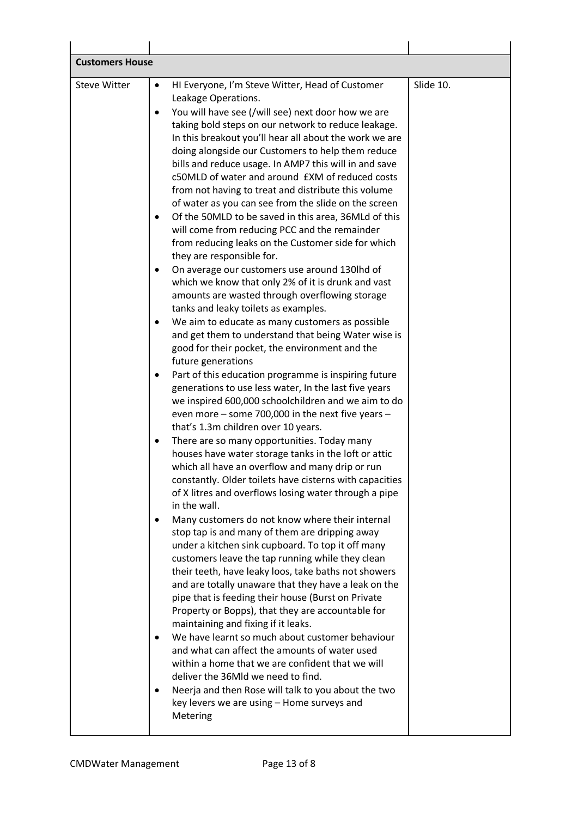| <b>Customers House</b> |                                                                                                                                                                                                                                                                                                                                                                                                       |           |
|------------------------|-------------------------------------------------------------------------------------------------------------------------------------------------------------------------------------------------------------------------------------------------------------------------------------------------------------------------------------------------------------------------------------------------------|-----------|
|                        |                                                                                                                                                                                                                                                                                                                                                                                                       |           |
| <b>Steve Witter</b>    | HI Everyone, I'm Steve Witter, Head of Customer<br>$\bullet$<br>Leakage Operations.<br>You will have see (/will see) next door how we are<br>$\bullet$<br>taking bold steps on our network to reduce leakage.<br>In this breakout you'll hear all about the work we are<br>doing alongside our Customers to help them reduce                                                                          | Slide 10. |
|                        | bills and reduce usage. In AMP7 this will in and save<br>c50MLD of water and around £XM of reduced costs<br>from not having to treat and distribute this volume<br>of water as you can see from the slide on the screen                                                                                                                                                                               |           |
|                        | Of the 50MLD to be saved in this area, 36MLd of this<br>$\bullet$<br>will come from reducing PCC and the remainder<br>from reducing leaks on the Customer side for which<br>they are responsible for.                                                                                                                                                                                                 |           |
|                        | On average our customers use around 130lhd of<br>which we know that only 2% of it is drunk and vast<br>amounts are wasted through overflowing storage<br>tanks and leaky toilets as examples.                                                                                                                                                                                                         |           |
|                        | We aim to educate as many customers as possible<br>and get them to understand that being Water wise is<br>good for their pocket, the environment and the<br>future generations                                                                                                                                                                                                                        |           |
|                        | Part of this education programme is inspiring future<br>generations to use less water, In the last five years<br>we inspired 600,000 schoolchildren and we aim to do<br>even more - some 700,000 in the next five years -<br>that's 1.3m children over 10 years.                                                                                                                                      |           |
|                        | There are so many opportunities. Today many<br>houses have water storage tanks in the loft or attic<br>which all have an overflow and many drip or run<br>constantly. Older toilets have cisterns with capacities<br>of X litres and overflows losing water through a pipe                                                                                                                            |           |
|                        | in the wall.<br>Many customers do not know where their internal<br>٠<br>stop tap is and many of them are dripping away<br>under a kitchen sink cupboard. To top it off many<br>customers leave the tap running while they clean<br>their teeth, have leaky loos, take baths not showers<br>and are totally unaware that they have a leak on the<br>pipe that is feeding their house (Burst on Private |           |
|                        | Property or Bopps), that they are accountable for<br>maintaining and fixing if it leaks.<br>We have learnt so much about customer behaviour<br>and what can affect the amounts of water used<br>within a home that we are confident that we will<br>deliver the 36Mld we need to find.                                                                                                                |           |
|                        | Neerja and then Rose will talk to you about the two<br>key levers we are using - Home surveys and<br>Metering                                                                                                                                                                                                                                                                                         |           |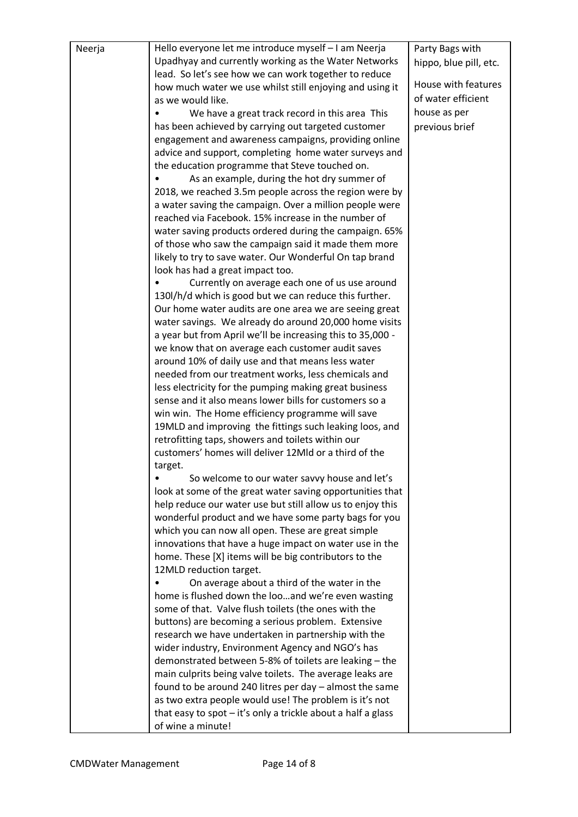| Neerja | Hello everyone let me introduce myself - I am Neerja                                                                  | Party Bags with        |
|--------|-----------------------------------------------------------------------------------------------------------------------|------------------------|
|        | Upadhyay and currently working as the Water Networks                                                                  | hippo, blue pill, etc. |
|        | lead. So let's see how we can work together to reduce                                                                 |                        |
|        | how much water we use whilst still enjoying and using it                                                              | House with features    |
|        | as we would like.                                                                                                     | of water efficient     |
|        | We have a great track record in this area This                                                                        | house as per           |
|        | has been achieved by carrying out targeted customer                                                                   | previous brief         |
|        | engagement and awareness campaigns, providing online                                                                  |                        |
|        | advice and support, completing home water surveys and                                                                 |                        |
|        | the education programme that Steve touched on.                                                                        |                        |
|        | As an example, during the hot dry summer of                                                                           |                        |
|        | 2018, we reached 3.5m people across the region were by                                                                |                        |
|        | a water saving the campaign. Over a million people were                                                               |                        |
|        | reached via Facebook. 15% increase in the number of                                                                   |                        |
|        | water saving products ordered during the campaign. 65%                                                                |                        |
|        | of those who saw the campaign said it made them more<br>likely to try to save water. Our Wonderful On tap brand       |                        |
|        | look has had a great impact too.                                                                                      |                        |
|        | Currently on average each one of us use around                                                                        |                        |
|        | 130l/h/d which is good but we can reduce this further.                                                                |                        |
|        | Our home water audits are one area we are seeing great                                                                |                        |
|        | water savings. We already do around 20,000 home visits                                                                |                        |
|        | a year but from April we'll be increasing this to 35,000 -                                                            |                        |
|        | we know that on average each customer audit saves                                                                     |                        |
|        | around 10% of daily use and that means less water                                                                     |                        |
|        | needed from our treatment works, less chemicals and                                                                   |                        |
|        | less electricity for the pumping making great business                                                                |                        |
|        | sense and it also means lower bills for customers so a                                                                |                        |
|        | win win. The Home efficiency programme will save                                                                      |                        |
|        | 19MLD and improving the fittings such leaking loos, and                                                               |                        |
|        | retrofitting taps, showers and toilets within our                                                                     |                        |
|        | customers' homes will deliver 12Mld or a third of the                                                                 |                        |
|        | target.<br>So welcome to our water savvy house and let's                                                              |                        |
|        | look at some of the great water saving opportunities that                                                             |                        |
|        | help reduce our water use but still allow us to enjoy this                                                            |                        |
|        | wonderful product and we have some party bags for you                                                                 |                        |
|        | which you can now all open. These are great simple                                                                    |                        |
|        | innovations that have a huge impact on water use in the                                                               |                        |
|        | home. These [X] items will be big contributors to the                                                                 |                        |
|        | 12MLD reduction target.                                                                                               |                        |
|        | On average about a third of the water in the                                                                          |                        |
|        | home is flushed down the looand we're even wasting                                                                    |                        |
|        | some of that. Valve flush toilets (the ones with the                                                                  |                        |
|        | buttons) are becoming a serious problem. Extensive                                                                    |                        |
|        | research we have undertaken in partnership with the                                                                   |                        |
|        | wider industry, Environment Agency and NGO's has                                                                      |                        |
|        | demonstrated between 5-8% of toilets are leaking - the                                                                |                        |
|        | main culprits being valve toilets. The average leaks are<br>found to be around 240 litres per day $-$ almost the same |                        |
|        | as two extra people would use! The problem is it's not                                                                |                        |
|        | that easy to spot $-$ it's only a trickle about a half a glass                                                        |                        |
|        | of wine a minute!                                                                                                     |                        |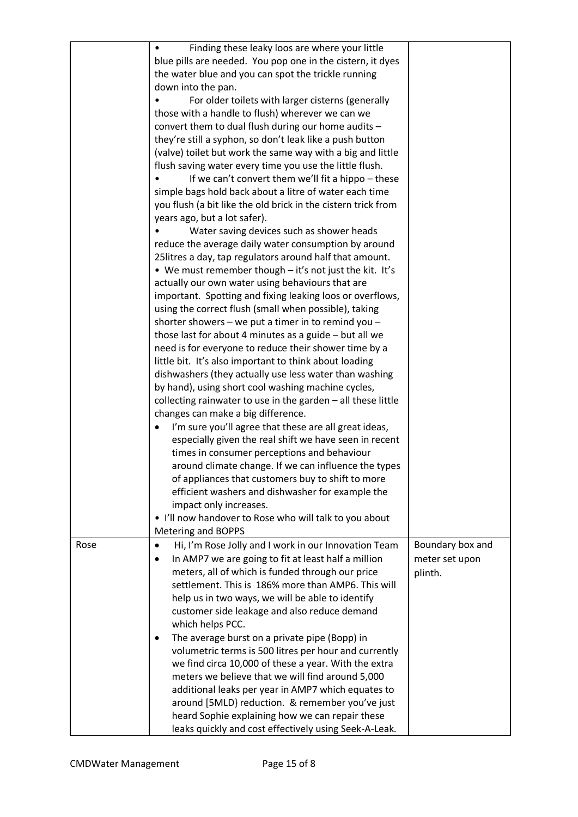|      | Finding these leaky loos are where your little                     |                  |
|------|--------------------------------------------------------------------|------------------|
|      | blue pills are needed. You pop one in the cistern, it dyes         |                  |
|      | the water blue and you can spot the trickle running                |                  |
|      | down into the pan.                                                 |                  |
|      | For older toilets with larger cisterns (generally                  |                  |
|      | those with a handle to flush) wherever we can we                   |                  |
|      | convert them to dual flush during our home audits -                |                  |
|      | they're still a syphon, so don't leak like a push button           |                  |
|      | (valve) toilet but work the same way with a big and little         |                  |
|      | flush saving water every time you use the little flush.            |                  |
|      | If we can't convert them we'll fit a hippo - these                 |                  |
|      | simple bags hold back about a litre of water each time             |                  |
|      | you flush (a bit like the old brick in the cistern trick from      |                  |
|      | years ago, but a lot safer).                                       |                  |
|      | Water saving devices such as shower heads                          |                  |
|      | reduce the average daily water consumption by around               |                  |
|      | 25 litres a day, tap regulators around half that amount.           |                  |
|      | • We must remember though - it's not just the kit. It's            |                  |
|      | actually our own water using behaviours that are                   |                  |
|      | important. Spotting and fixing leaking loos or overflows,          |                  |
|      | using the correct flush (small when possible), taking              |                  |
|      | shorter showers - we put a timer in to remind you -                |                  |
|      | those last for about 4 minutes as a guide $-$ but all we           |                  |
|      | need is for everyone to reduce their shower time by a              |                  |
|      |                                                                    |                  |
|      | little bit. It's also important to think about loading             |                  |
|      | dishwashers (they actually use less water than washing             |                  |
|      | by hand), using short cool washing machine cycles,                 |                  |
|      | collecting rainwater to use in the garden $-$ all these little     |                  |
|      | changes can make a big difference.                                 |                  |
|      | I'm sure you'll agree that these are all great ideas,<br>$\bullet$ |                  |
|      | especially given the real shift we have seen in recent             |                  |
|      | times in consumer perceptions and behaviour                        |                  |
|      | around climate change. If we can influence the types               |                  |
|      | of appliances that customers buy to shift to more                  |                  |
|      | efficient washers and dishwasher for example the                   |                  |
|      | impact only increases.                                             |                  |
|      | • I'll now handover to Rose who will talk to you about             |                  |
|      | Metering and BOPPS                                                 |                  |
| Rose | Hi, I'm Rose Jolly and I work in our Innovation Team<br>$\bullet$  | Boundary box and |
|      | In AMP7 we are going to fit at least half a million<br>$\bullet$   | meter set upon   |
|      | meters, all of which is funded through our price                   | plinth.          |
|      | settlement. This is 186% more than AMP6. This will                 |                  |
|      | help us in two ways, we will be able to identify                   |                  |
|      | customer side leakage and also reduce demand                       |                  |
|      | which helps PCC.                                                   |                  |
|      | The average burst on a private pipe (Bopp) in<br>$\bullet$         |                  |
|      | volumetric terms is 500 litres per hour and currently              |                  |
|      | we find circa 10,000 of these a year. With the extra               |                  |
|      | meters we believe that we will find around 5,000                   |                  |
|      | additional leaks per year in AMP7 which equates to                 |                  |
|      | around [5MLD] reduction. & remember you've just                    |                  |
|      | heard Sophie explaining how we can repair these                    |                  |
|      | leaks quickly and cost effectively using Seek-A-Leak.              |                  |